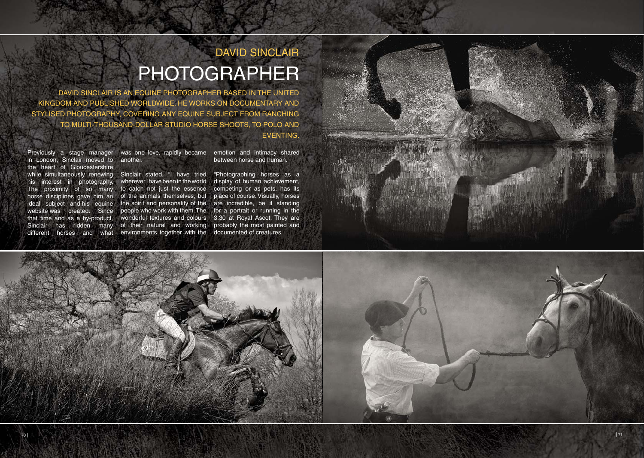Previously a stage manager in London, Sinclair moved to the heart of Gloucestershire horse disciplines gave him an ideal subject and his equine website was created. Since that time and as a by-product, Sinclair has ridden many

## DAVID SINCLAIR PHOTOGRAPHER

wonderful textures and colours 3.30 at Royal Ascot. They are "Photographing horses as a display of human achievement, competing or as pets, has its place of course. Visually, horses are incredible, be it standing for a portrait or running in the probably the most painted and documented of creatures.





DAVID SINCLAIR IS AN EQUINE PHOTOGRAPHER BASED IN THE UNITED KINGDOM AND PUBLISHED WORLDWIDE. HE WORKS ON DOCUMENTARY AND STYLISED PHOTOGRAPHY, COVERING ANY EQUINE SUBJECT FROM RANCHING TO MULTI-THOUSAND-DOLLAR STUDIO HORSE SHOOTS, TO POLO AND EVENTING.

while simultaneously renewing Sinclair stated, "I have tried his interest in photography. wherever I have been in the world The proximity of so many to catch not just the essence different horses and what environments together with the of the animals themselves, but the spirit and personality of the people who work with them. The of their natural and working

was one love, rapidly became another.

emotion and intimacy shared between horse and human.